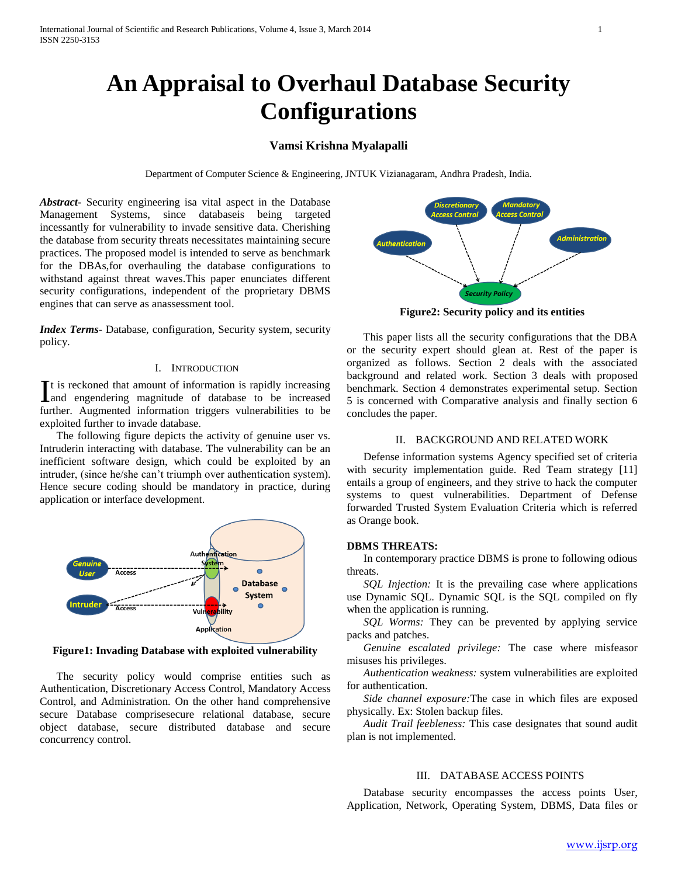# **An Appraisal to Overhaul Database Security Configurations**

## **Vamsi Krishna Myalapalli**

Department of Computer Science & Engineering, JNTUK Vizianagaram, Andhra Pradesh, India.

*Abstract***-** Security engineering isa vital aspect in the Database Management Systems, since databaseis being targeted incessantly for vulnerability to invade sensitive data. Cherishing the database from security threats necessitates maintaining secure practices. The proposed model is intended to serve as benchmark for the DBAs,for overhauling the database configurations to withstand against threat waves.This paper enunciates different security configurations, independent of the proprietary DBMS engines that can serve as anassessment tool.

*Index Terms*- Database, configuration, Security system, security policy.

#### I. INTRODUCTION

t is reckoned that amount of information is rapidly increasing It is reckoned that amount of information is rapidly increasing<br>and engendering magnitude of database to be increased further. Augmented information triggers vulnerabilities to be exploited further to invade database.

 The following figure depicts the activity of genuine user vs. Intruderin interacting with database. The vulnerability can be an inefficient software design, which could be exploited by an intruder, (since he/she can't triumph over authentication system). Hence secure coding should be mandatory in practice, during application or interface development.



**Figure1: Invading Database with exploited vulnerability**

 The security policy would comprise entities such as Authentication, Discretionary Access Control, Mandatory Access Control, and Administration. On the other hand comprehensive secure Database comprisesecure relational database, secure object database, secure distributed database and secure concurrency control.



**Figure2: Security policy and its entities**

 This paper lists all the security configurations that the DBA or the security expert should glean at. Rest of the paper is organized as follows. Section 2 deals with the associated background and related work. Section 3 deals with proposed benchmark. Section 4 demonstrates experimental setup. Section 5 is concerned with Comparative analysis and finally section 6 concludes the paper.

#### II. BACKGROUND AND RELATED WORK

 Defense information systems Agency specified set of criteria with security implementation guide. Red Team strategy [11] entails a group of engineers, and they strive to hack the computer systems to quest vulnerabilities. Department of Defense forwarded Trusted System Evaluation Criteria which is referred as Orange book.

#### **DBMS THREATS:**

 In contemporary practice DBMS is prone to following odious threats.

*SQL Injection:* It is the prevailing case where applications use Dynamic SQL. Dynamic SQL is the SQL compiled on fly when the application is running.

 *SQL Worms:* They can be prevented by applying service packs and patches.

 *Genuine escalated privilege:* The case where misfeasor misuses his privileges.

 *Authentication weakness:* system vulnerabilities are exploited for authentication.

 *Side channel exposure:*The case in which files are exposed physically. Ex: Stolen backup files.

 *Audit Trail feebleness:* This case designates that sound audit plan is not implemented.

### III. DATABASE ACCESS POINTS

 Database security encompasses the access points User, Application, Network, Operating System, DBMS, Data files or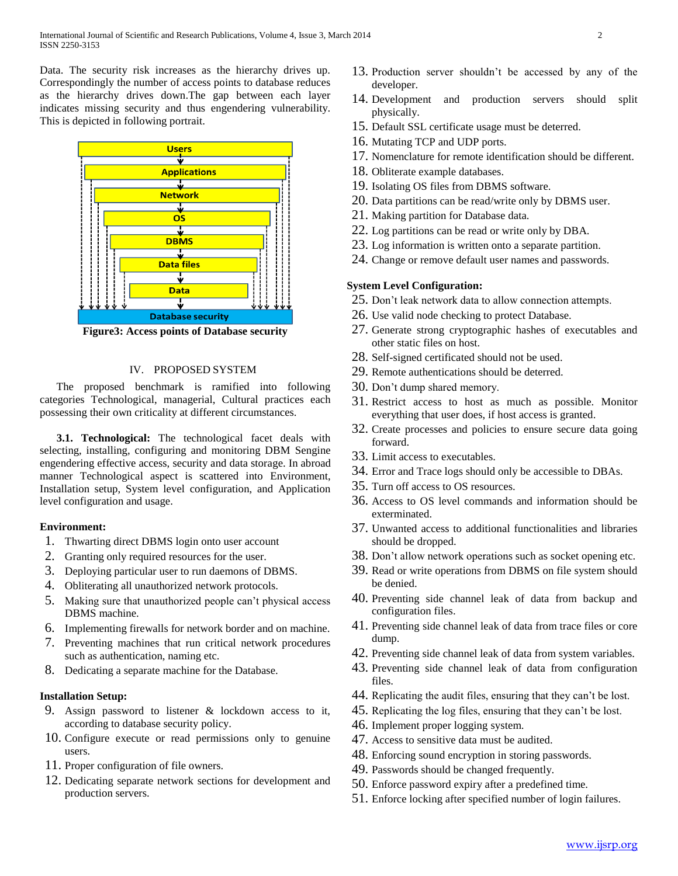Data. The security risk increases as the hierarchy drives up. Correspondingly the number of access points to database reduces as the hierarchy drives down.The gap between each layer indicates missing security and thus engendering vulnerability. This is depicted in following portrait.



**Figure3: Access points of Database security**

### IV. PROPOSED SYSTEM

 The proposed benchmark is ramified into following categories Technological, managerial, Cultural practices each possessing their own criticality at different circumstances.

 **3.1. Technological:** The technological facet deals with selecting, installing, configuring and monitoring DBM Sengine engendering effective access, security and data storage. In abroad manner Technological aspect is scattered into Environment, Installation setup, System level configuration, and Application level configuration and usage.

### **Environment:**

- 1. Thwarting direct DBMS login onto user account
- 2. Granting only required resources for the user.
- 3. Deploying particular user to run daemons of DBMS.
- 4. Obliterating all unauthorized network protocols.
- 5. Making sure that unauthorized people can't physical access DBMS machine.
- 6. Implementing firewalls for network border and on machine.
- 7. Preventing machines that run critical network procedures such as authentication, naming etc.
- 8. Dedicating a separate machine for the Database.

## **Installation Setup:**

- 9. Assign password to listener & lockdown access to it, according to database security policy.
- 10. Configure execute or read permissions only to genuine users.
- 11. Proper configuration of file owners.
- 12. Dedicating separate network sections for development and production servers.
- 13. Production server shouldn't be accessed by any of the developer.
- 14. Development and production servers should split physically.
- 15. Default SSL certificate usage must be deterred.
- 16. Mutating TCP and UDP ports.
- 17. Nomenclature for remote identification should be different.
- 18. Obliterate example databases.
- 19. Isolating OS files from DBMS software.
- 20. Data partitions can be read/write only by DBMS user.
- 21. Making partition for Database data.
- 22. Log partitions can be read or write only by DBA.
- 23. Log information is written onto a separate partition.
- 24. Change or remove default user names and passwords.

#### **System Level Configuration:**

- 25. Don't leak network data to allow connection attempts.
- 26. Use valid node checking to protect Database.
- 27. Generate strong cryptographic hashes of executables and other static files on host.
- 28. Self-signed certificated should not be used.
- 29. Remote authentications should be deterred.
- 30. Don't dump shared memory.
- 31. Restrict access to host as much as possible. Monitor everything that user does, if host access is granted.
- 32. Create processes and policies to ensure secure data going forward.
- 33. Limit access to executables.
- 34. Error and Trace logs should only be accessible to DBAs.
- 35. Turn off access to OS resources.
- 36. Access to OS level commands and information should be exterminated.
- 37. Unwanted access to additional functionalities and libraries should be dropped.
- 38. Don't allow network operations such as socket opening etc.
- 39. Read or write operations from DBMS on file system should be denied.
- 40. Preventing side channel leak of data from backup and configuration files.
- 41. Preventing side channel leak of data from trace files or core dump.
- 42. Preventing side channel leak of data from system variables.
- 43. Preventing side channel leak of data from configuration files.
- 44. Replicating the audit files, ensuring that they can't be lost.
- 45. Replicating the log files, ensuring that they can't be lost.
- 46. Implement proper logging system.
- 47. Access to sensitive data must be audited.
- 48. Enforcing sound encryption in storing passwords.
- 49. Passwords should be changed frequently.
- 50. Enforce password expiry after a predefined time.
- 51. Enforce locking after specified number of login failures.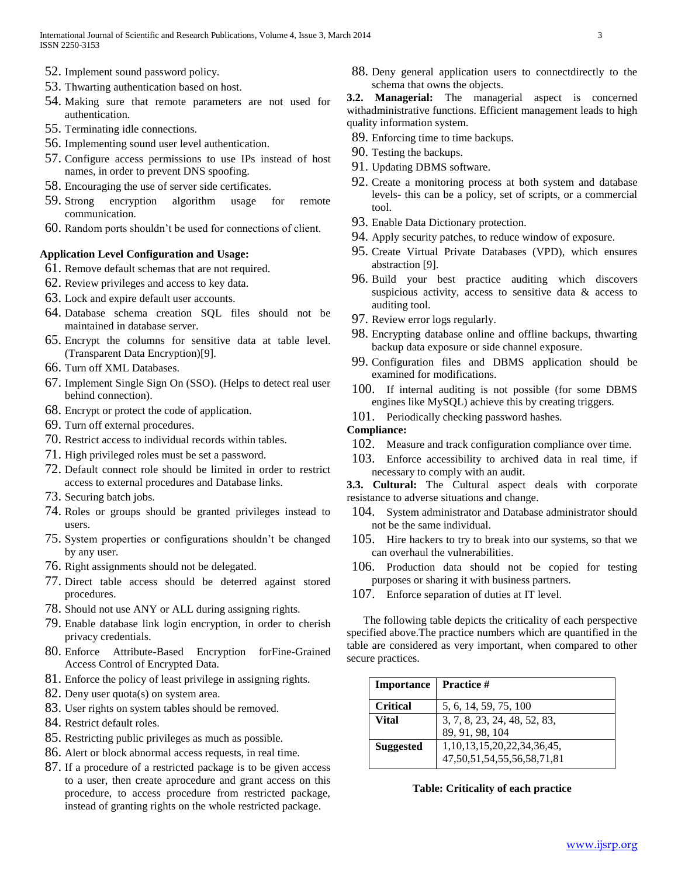- 52. Implement sound password policy.
- 53. Thwarting authentication based on host.
- 54. Making sure that remote parameters are not used for authentication.
- 55. Terminating idle connections.
- 56. Implementing sound user level authentication.
- 57. Configure access permissions to use IPs instead of host names, in order to prevent DNS spoofing.
- 58. Encouraging the use of server side certificates.
- 59. Strong encryption algorithm usage for remote communication.
- 60. Random ports shouldn't be used for connections of client.

## **Application Level Configuration and Usage:**

- 61. Remove default schemas that are not required.
- 62. Review privileges and access to key data.
- 63. Lock and expire default user accounts.
- 64. Database schema creation SQL files should not be maintained in database server.
- 65. Encrypt the columns for sensitive data at table level. (Transparent Data Encryption)[9].
- 66. Turn off XML Databases.
- 67. Implement Single Sign On (SSO). (Helps to detect real user behind connection).
- 68. Encrypt or protect the code of application.
- 69. Turn off external procedures.
- 70. Restrict access to individual records within tables.
- 71. High privileged roles must be set a password.
- 72. Default connect role should be limited in order to restrict access to external procedures and Database links.
- 73. Securing batch jobs.
- 74. Roles or groups should be granted privileges instead to users.
- 75. System properties or configurations shouldn't be changed by any user.
- 76. Right assignments should not be delegated.
- 77. Direct table access should be deterred against stored procedures.
- 78. Should not use ANY or ALL during assigning rights.
- 79. Enable database link login encryption, in order to cherish privacy credentials.
- 80. Enforce Attribute-Based Encryption forFine-Grained Access Control of Encrypted Data.
- 81. Enforce the policy of least privilege in assigning rights.
- 82. Deny user quota(s) on system area.
- 83. User rights on system tables should be removed.
- 84. Restrict default roles.
- 85. Restricting public privileges as much as possible.
- 86. Alert or block abnormal access requests, in real time.
- 87. If a procedure of a restricted package is to be given access to a user, then create aprocedure and grant access on this procedure, to access procedure from restricted package, instead of granting rights on the whole restricted package.
- 88. Deny general application users to connectdirectly to the schema that owns the objects.
- **3.2. Managerial:** The managerial aspect is concerned withadministrative functions. Efficient management leads to high quality information system.
- 89. Enforcing time to time backups.
- 90. Testing the backups.
- 91. Updating DBMS software.
- 92. Create a monitoring process at both system and database levels- this can be a policy, set of scripts, or a commercial tool.
- 93. Enable Data Dictionary protection.
- 94. Apply security patches, to reduce window of exposure.
- 95. Create Virtual Private Databases (VPD), which ensures abstraction [9].
- 96. Build your best practice auditing which discovers suspicious activity, access to sensitive data & access to auditing tool.
- 97. Review error logs regularly.
- 98. Encrypting database online and offline backups, thwarting backup data exposure or side channel exposure.
- 99. Configuration files and DBMS application should be examined for modifications.
- 100. If internal auditing is not possible (for some DBMS engines like MySQL) achieve this by creating triggers.
- 101. Periodically checking password hashes.

# **Compliance:**

- 102. Measure and track configuration compliance over time.
- 103. Enforce accessibility to archived data in real time, if necessary to comply with an audit.

**3.3. Cultural:** The Cultural aspect deals with corporate resistance to adverse situations and change.

- 104. System administrator and Database administrator should not be the same individual.
- 105. Hire hackers to try to break into our systems, so that we can overhaul the vulnerabilities.
- 106. Production data should not be copied for testing purposes or sharing it with business partners.
- 107. Enforce separation of duties at IT level.

 The following table depicts the criticality of each perspective specified above.The practice numbers which are quantified in the table are considered as very important, when compared to other secure practices.

| <b>Importance</b>   Practice # |                                                                          |
|--------------------------------|--------------------------------------------------------------------------|
| <b>Critical</b>                | 5, 6, 14, 59, 75, 100                                                    |
| Vital                          | 3, 7, 8, 23, 24, 48, 52, 83,<br>89, 91, 98, 104                          |
| <b>Suggested</b>               | 1, 10, 13, 15, 20, 22, 34, 36, 45,<br>47, 50, 51, 54, 55, 56, 58, 71, 81 |

## **Table: Criticality of each practice**